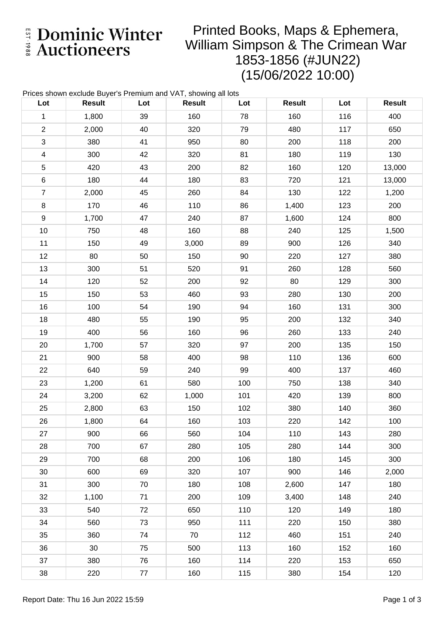E Dominic Winter

## Printed Books, Maps & Ephemera, William Simpson & The Crimean War 1853-1856 (#JUN22) (15/06/2022 10:00)

| Prices shown exclude Buyer's Premium and VAT, showing all lots |               |     |               |     |               |     |               |
|----------------------------------------------------------------|---------------|-----|---------------|-----|---------------|-----|---------------|
| Lot                                                            | <b>Result</b> | Lot | <b>Result</b> | Lot | <b>Result</b> | Lot | <b>Result</b> |
| $\mathbf 1$                                                    | 1,800         | 39  | 160           | 78  | 160           | 116 | 400           |
| $\overline{2}$                                                 | 2,000         | 40  | 320           | 79  | 480           | 117 | 650           |
| $\mathfrak{S}$                                                 | 380           | 41  | 950           | 80  | 200           | 118 | 200           |
| $\overline{\mathbf{4}}$                                        | 300           | 42  | 320           | 81  | 180           | 119 | 130           |
| $\mathbf 5$                                                    | 420           | 43  | 200           | 82  | 160           | 120 | 13,000        |
| $\,6$                                                          | 180           | 44  | 180           | 83  | 720           | 121 | 13,000        |
| $\overline{7}$                                                 | 2,000         | 45  | 260           | 84  | 130           | 122 | 1,200         |
| $\bf 8$                                                        | 170           | 46  | 110           | 86  | 1,400         | 123 | 200           |
| 9                                                              | 1,700         | 47  | 240           | 87  | 1,600         | 124 | 800           |
| 10                                                             | 750           | 48  | 160           | 88  | 240           | 125 | 1,500         |
| 11                                                             | 150           | 49  | 3,000         | 89  | 900           | 126 | 340           |
| 12                                                             | 80            | 50  | 150           | 90  | 220           | 127 | 380           |
| 13                                                             | 300           | 51  | 520           | 91  | 260           | 128 | 560           |
| 14                                                             | 120           | 52  | 200           | 92  | 80            | 129 | 300           |
| 15                                                             | 150           | 53  | 460           | 93  | 280           | 130 | 200           |
| 16                                                             | 100           | 54  | 190           | 94  | 160           | 131 | 300           |
| 18                                                             | 480           | 55  | 190           | 95  | 200           | 132 | 340           |
| 19                                                             | 400           | 56  | 160           | 96  | 260           | 133 | 240           |
| 20                                                             | 1,700         | 57  | 320           | 97  | 200           | 135 | 150           |
| 21                                                             | 900           | 58  | 400           | 98  | 110           | 136 | 600           |
| 22                                                             | 640           | 59  | 240           | 99  | 400           | 137 | 460           |
| 23                                                             | 1,200         | 61  | 580           | 100 | 750           | 138 | 340           |
| 24                                                             | 3,200         | 62  | 1,000         | 101 | 420           | 139 | 800           |
| 25                                                             | 2,800         | 63  | 150           | 102 | 380           | 140 | 360           |
| 26                                                             | 1,800         | 64  | 160           | 103 | 220           | 142 | 100           |
| 27                                                             | 900           | 66  | 560           | 104 | 110           | 143 | 280           |
| 28                                                             | 700           | 67  | 280           | 105 | 280           | 144 | 300           |
| 29                                                             | 700           | 68  | 200           | 106 | 180           | 145 | 300           |
| 30                                                             | 600           | 69  | 320           | 107 | 900           | 146 | 2,000         |
| 31                                                             | 300           | 70  | 180           | 108 | 2,600         | 147 | 180           |
| 32                                                             | 1,100         | 71  | 200           | 109 | 3,400         | 148 | 240           |
| 33                                                             | 540           | 72  | 650           | 110 | 120           | 149 | 180           |
| 34                                                             | 560           | 73  | 950           | 111 | 220           | 150 | 380           |
| 35                                                             | 360           | 74  | 70            | 112 | 460           | 151 | 240           |
| 36                                                             | 30            | 75  | 500           | 113 | 160           | 152 | 160           |
| 37                                                             | 380           | 76  | 160           | 114 | 220           | 153 | 650           |
| $38\,$                                                         | 220           | 77  | 160           | 115 | 380           | 154 | 120           |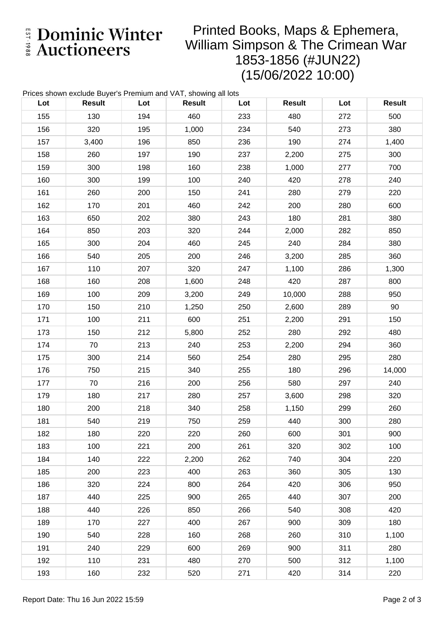E Dominic Winter

## Printed Books, Maps & Ephemera, William Simpson & The Crimean War 1853-1856 (#JUN22) (15/06/2022 10:00)

| Prices shown exclude Buyer's Premium and VAT, showing all lots |               |     |               |     |               |     |               |  |
|----------------------------------------------------------------|---------------|-----|---------------|-----|---------------|-----|---------------|--|
| Lot                                                            | <b>Result</b> | Lot | <b>Result</b> | Lot | <b>Result</b> | Lot | <b>Result</b> |  |
| 155                                                            | 130           | 194 | 460           | 233 | 480           | 272 | 500           |  |
| 156                                                            | 320           | 195 | 1,000         | 234 | 540           | 273 | 380           |  |
| 157                                                            | 3,400         | 196 | 850           | 236 | 190           | 274 | 1,400         |  |
| 158                                                            | 260           | 197 | 190           | 237 | 2,200         | 275 | 300           |  |
| 159                                                            | 300           | 198 | 160           | 238 | 1,000         | 277 | 700           |  |
| 160                                                            | 300           | 199 | 100           | 240 | 420           | 278 | 240           |  |
| 161                                                            | 260           | 200 | 150           | 241 | 280           | 279 | 220           |  |
| 162                                                            | 170           | 201 | 460           | 242 | 200           | 280 | 600           |  |
| 163                                                            | 650           | 202 | 380           | 243 | 180           | 281 | 380           |  |
| 164                                                            | 850           | 203 | 320           | 244 | 2,000         | 282 | 850           |  |
| 165                                                            | 300           | 204 | 460           | 245 | 240           | 284 | 380           |  |
| 166                                                            | 540           | 205 | 200           | 246 | 3,200         | 285 | 360           |  |
| 167                                                            | 110           | 207 | 320           | 247 | 1,100         | 286 | 1,300         |  |
| 168                                                            | 160           | 208 | 1,600         | 248 | 420           | 287 | 800           |  |
| 169                                                            | 100           | 209 | 3,200         | 249 | 10,000        | 288 | 950           |  |
| 170                                                            | 150           | 210 | 1,250         | 250 | 2,600         | 289 | 90            |  |
| 171                                                            | 100           | 211 | 600           | 251 | 2,200         | 291 | 150           |  |
| 173                                                            | 150           | 212 | 5,800         | 252 | 280           | 292 | 480           |  |
| 174                                                            | 70            | 213 | 240           | 253 | 2,200         | 294 | 360           |  |
| 175                                                            | 300           | 214 | 560           | 254 | 280           | 295 | 280           |  |
| 176                                                            | 750           | 215 | 340           | 255 | 180           | 296 | 14,000        |  |
| 177                                                            | 70            | 216 | 200           | 256 | 580           | 297 | 240           |  |
| 179                                                            | 180           | 217 | 280           | 257 | 3,600         | 298 | 320           |  |
| 180                                                            | 200           | 218 | 340           | 258 | 1,150         | 299 | 260           |  |
| 181                                                            | 540           | 219 | 750           | 259 | 440           | 300 | 280           |  |
| 182                                                            | 180           | 220 | 220           | 260 | 600           | 301 | 900           |  |
| 183                                                            | 100           | 221 | 200           | 261 | 320           | 302 | 100           |  |
| 184                                                            | 140           | 222 | 2,200         | 262 | 740           | 304 | 220           |  |
| 185                                                            | 200           | 223 | 400           | 263 | 360           | 305 | 130           |  |
| 186                                                            | 320           | 224 | 800           | 264 | 420           | 306 | 950           |  |
| 187                                                            | 440           | 225 | 900           | 265 | 440           | 307 | 200           |  |
| 188                                                            | 440           | 226 | 850           | 266 | 540           | 308 | 420           |  |
| 189                                                            | 170           | 227 | 400           | 267 | 900           | 309 | 180           |  |
| 190                                                            | 540           | 228 | 160           | 268 | 260           | 310 | 1,100         |  |
| 191                                                            | 240           | 229 | 600           | 269 | 900           | 311 | 280           |  |
| 192                                                            | 110           | 231 | 480           | 270 | 500           | 312 | 1,100         |  |
| 193                                                            | 160           | 232 | 520           | 271 | 420           | 314 | 220           |  |